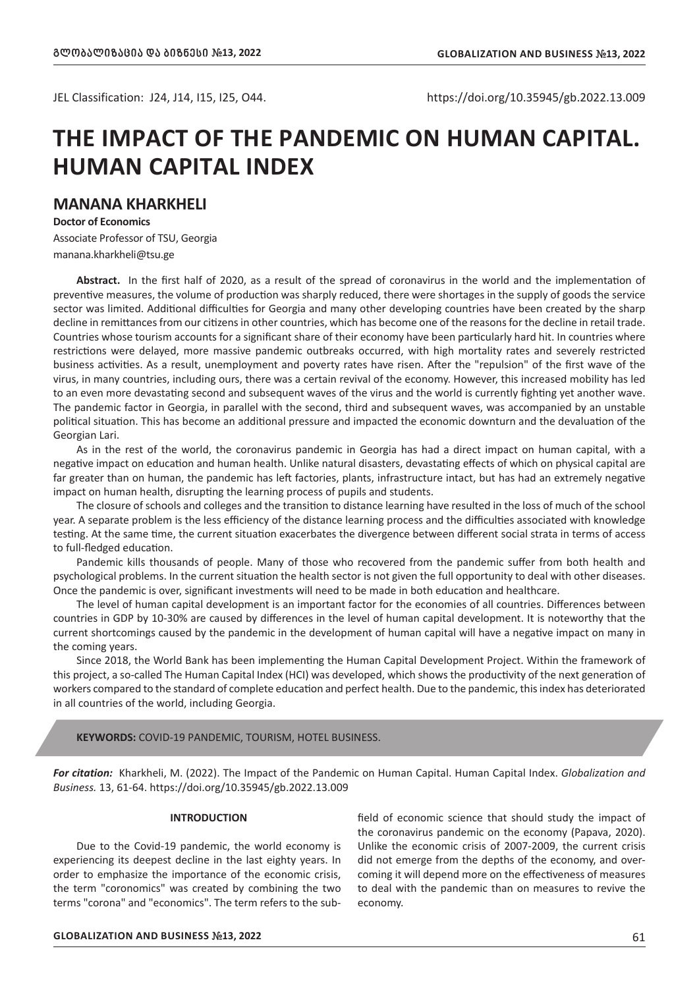JEL Classification: J24, J14, I15, I25, O44. https://doi.org/10.35945/gb.2022.13.009

# **THE IMPACT OF THE PANDEMIC ON HUMAN CAPITAL. HUMAN CAPITAL INDEX**

## **MANANA KHARKHELI**

**Doctor of Economics** Associate Professor of TSU, Georgia manana.kharkheli@tsu.ge

**Abstract.** In the first half of 2020, as a result of the spread of coronavirus in the world and the implementation of preventive measures, the volume of production was sharply reduced, there were shortages in the supply of goods the service sector was limited. Additional difficulties for Georgia and many other developing countries have been created by the sharp decline in remittances from our citizens in other countries, which has become one of the reasons for the decline in retail trade. Countries whose tourism accounts for a significant share of their economy have been particularly hard hit. In countries where restrictions were delayed, more massive pandemic outbreaks occurred, with high mortality rates and severely restricted business activities. As a result, unemployment and poverty rates have risen. After the "repulsion" of the first wave of the virus, in many countries, including ours, there was a certain revival of the economy. However, this increased mobility has led to an even more devastating second and subsequent waves of the virus and the world is currently fighting yet another wave. The pandemic factor in Georgia, in parallel with the second, third and subsequent waves, was accompanied by an unstable political situation. This has become an additional pressure and impacted the economic downturn and the devaluation of the Georgian Lari.

As in the rest of the world, the coronavirus pandemic in Georgia has had a direct impact on human capital, with a negative impact on education and human health. Unlike natural disasters, devastating effects of which on physical capital are far greater than on human, the pandemic has left factories, plants, infrastructure intact, but has had an extremely negative impact on human health, disrupting the learning process of pupils and students.

The closure of schools and colleges and the transition to distance learning have resulted in the loss of much of the school year. A separate problem is the less efficiency of the distance learning process and the difficulties associated with knowledge testing. At the same time, the current situation exacerbates the divergence between different social strata in terms of access to full-fledged education.

Pandemic kills thousands of people. Many of those who recovered from the pandemic suffer from both health and psychological problems. In the current situation the health sector is not given the full opportunity to deal with other diseases. Once the pandemic is over, significant investments will need to be made in both education and healthcare.

The level of human capital development is an important factor for the economies of all countries. Differences between countries in GDP by 10-30% are caused by differences in the level of human capital development. It is noteworthy that the current shortcomings caused by the pandemic in the development of human capital will have a negative impact on many in the coming years.

Since 2018, the World Bank has been implementing the Human Capital Development Project. Within the framework of this project, a so-called The Human Capital Index (HCI) was developed, which shows the productivity of the next generation of workers compared to the standard of complete education and perfect health. Due to the pandemic, this index has deteriorated in all countries of the world, including Georgia.

### **KEYWORDS:** COVID-19 PANDEMIC, TOURISM, HOTEL BUSINESS.

*For citation:* Kharkheli, M. (2022). The Impact of the Pandemic on Human Capital. Human Capital Index. *Globalization and Business.* 13, 61-64. https://doi.org/10.35945/gb.2022.13.009

### **INTRODUCTION**

Due to the Covid-19 pandemic, the world economy is experiencing its deepest decline in the last eighty years. In order to emphasize the importance of the economic crisis, the term "coronomics" was created by combining the two terms "corona" and "economics". The term refers to the subfield of economic science that should study the impact of the coronavirus pandemic on the economy (Papava, 2020). Unlike the economic crisis of 2007-2009, the current crisis did not emerge from the depths of the economy, and overcoming it will depend more on the effectiveness of measures to deal with the pandemic than on measures to revive the economy.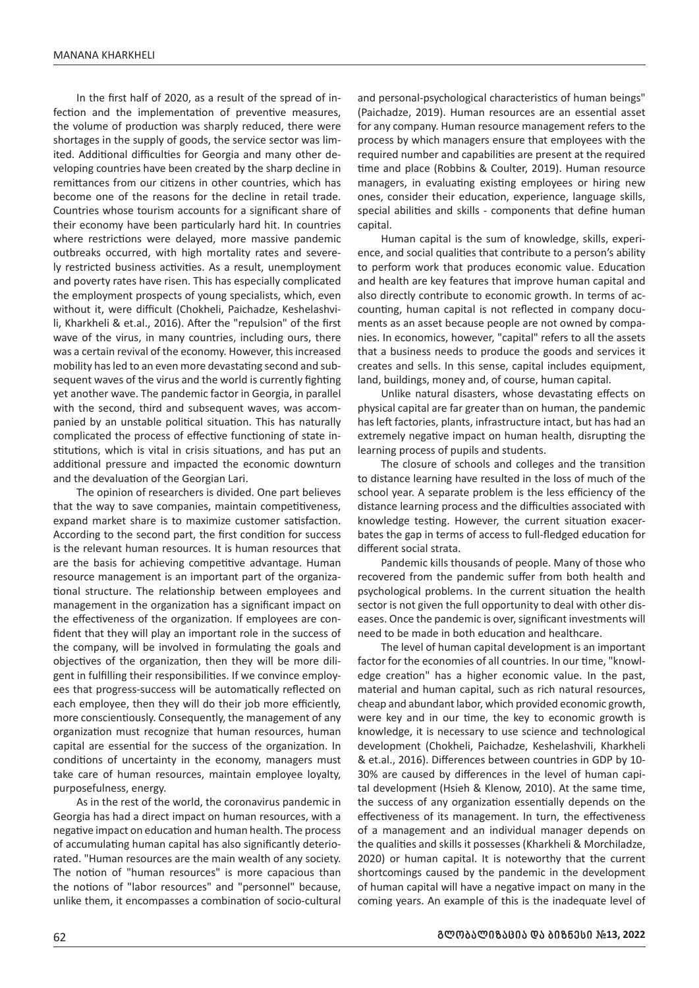In the first half of 2020, as a result of the spread of infection and the implementation of preventive measures, the volume of production was sharply reduced, there were shortages in the supply of goods, the service sector was limited. Additional difficulties for Georgia and many other developing countries have been created by the sharp decline in remittances from our citizens in other countries, which has become one of the reasons for the decline in retail trade. Countries whose tourism accounts for a significant share of their economy have been particularly hard hit. In countries where restrictions were delayed, more massive pandemic outbreaks occurred, with high mortality rates and severely restricted business activities. As a result, unemployment and poverty rates have risen. This has especially complicated the employment prospects of young specialists, which, even without it, were difficult (Chokheli, Paichadze, Keshelashvili, Kharkheli & et.al., 2016). After the "repulsion" of the first wave of the virus, in many countries, including ours, there was a certain revival of the economy. However, this increased mobility has led to an even more devastating second and subsequent waves of the virus and the world is currently fighting yet another wave. The pandemic factor in Georgia, in parallel with the second, third and subsequent waves, was accompanied by an unstable political situation. This has naturally complicated the process of effective functioning of state institutions, which is vital in crisis situations, and has put an additional pressure and impacted the economic downturn and the devaluation of the Georgian Lari.

The opinion of researchers is divided. One part believes that the way to save companies, maintain competitiveness, expand market share is to maximize customer satisfaction. According to the second part, the first condition for success is the relevant human resources. It is human resources that are the basis for achieving competitive advantage. Human resource management is an important part of the organizational structure. The relationship between employees and management in the organization has a significant impact on the effectiveness of the organization. If employees are confident that they will play an important role in the success of the company, will be involved in formulating the goals and objectives of the organization, then they will be more diligent in fulfilling their responsibilities. If we convince employees that progress-success will be automatically reflected on each employee, then they will do their job more efficiently, more conscientiously. Consequently, the management of any organization must recognize that human resources, human capital are essential for the success of the organization. In conditions of uncertainty in the economy, managers must take care of human resources, maintain employee loyalty, purposefulness, energy.

As in the rest of the world, the coronavirus pandemic in Georgia has had a direct impact on human resources, with a negative impact on education and human health. The process of accumulating human capital has also significantly deteriorated. "Human resources are the main wealth of any society. The notion of "human resources" is more capacious than the notions of "labor resources" and "personnel" because, unlike them, it encompasses a combination of socio-cultural

and personal-psychological characteristics of human beings" (Paichadze, 2019). Human resources are an essential asset for any company. Human resource management refers to the process by which managers ensure that employees with the required number and capabilities are present at the required time and place (Robbins & Coulter, 2019). Human resource managers, in evaluating existing employees or hiring new ones, consider their education, experience, language skills, special abilities and skills - components that define human capital.

Human capital is the sum of knowledge, skills, experience, and social qualities that contribute to a person's ability to perform work that produces economic value. Education and health are key features that improve human capital and also directly contribute to economic growth. In terms of accounting, human capital is not reflected in company documents as an asset because people are not owned by companies. In economics, however, "capital" refers to all the assets that a business needs to produce the goods and services it creates and sells. In this sense, capital includes equipment, land, buildings, money and, of course, human capital.

Unlike natural disasters, whose devastating effects on physical capital are far greater than on human, the pandemic has left factories, plants, infrastructure intact, but has had an extremely negative impact on human health, disrupting the learning process of pupils and students.

The closure of schools and colleges and the transition to distance learning have resulted in the loss of much of the school year. A separate problem is the less efficiency of the distance learning process and the difficulties associated with knowledge testing. However, the current situation exacerbates the gap in terms of access to full-fledged education for different social strata.

Pandemic kills thousands of people. Many of those who recovered from the pandemic suffer from both health and psychological problems. In the current situation the health sector is not given the full opportunity to deal with other diseases. Once the pandemic is over, significant investments will need to be made in both education and healthcare.

The level of human capital development is an important factor for the economies of all countries. In our time, "knowledge creation" has a higher economic value. In the past, material and human capital, such as rich natural resources, cheap and abundant labor, which provided economic growth, were key and in our time, the key to economic growth is knowledge, it is necessary to use science and technological development (Chokheli, Paichadze, Keshelashvili, Kharkheli & et.al., 2016). Differences between countries in GDP by 10- 30% are caused by differences in the level of human capital development (Hsieh & Klenow, 2010). At the same time, the success of any organization essentially depends on the effectiveness of its management. In turn, the effectiveness of a management and an individual manager depends on the qualities and skills it possesses (Kharkheli & Morchiladze, 2020) or human capital. It is noteworthy that the current shortcomings caused by the pandemic in the development of human capital will have a negative impact on many in the coming years. An example of this is the inadequate level of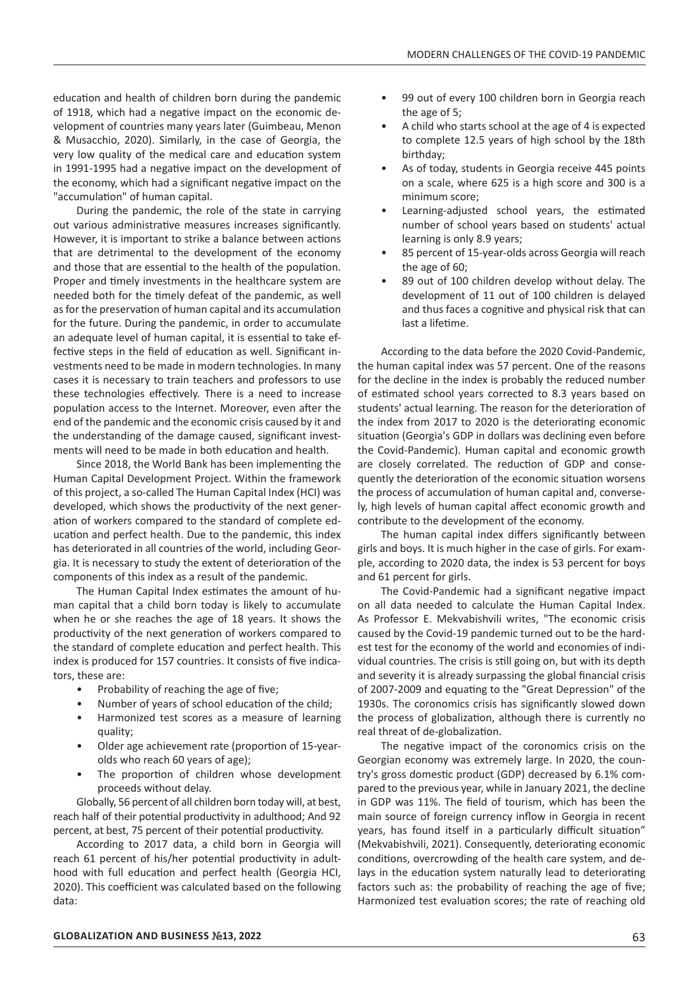education and health of children born during the pandemic of 1918, which had a negative impact on the economic development of countries many years later (Guimbeau, Menon & Musacchio, 2020). Similarly, in the case of Georgia, the very low quality of the medical care and education system in 1991-1995 had a negative impact on the development of the economy, which had a significant negative impact on the "accumulation" of human capital.

During the pandemic, the role of the state in carrying out various administrative measures increases significantly. However, it is important to strike a balance between actions that are detrimental to the development of the economy and those that are essential to the health of the population. Proper and timely investments in the healthcare system are needed both for the timely defeat of the pandemic, as well as for the preservation of human capital and its accumulation for the future. During the pandemic, in order to accumulate an adequate level of human capital, it is essential to take effective steps in the field of education as well. Significant investments need to be made in modern technologies. In many cases it is necessary to train teachers and professors to use these technologies effectively. There is a need to increase population access to the Internet. Moreover, even after the end of the pandemic and the economic crisis caused by it and the understanding of the damage caused, significant investments will need to be made in both education and health.

Since 2018, the World Bank has been implementing the Human Capital Development Project. Within the framework of this project, a so-called The Human Capital Index (HCI) was developed, which shows the productivity of the next generation of workers compared to the standard of complete education and perfect health. Due to the pandemic, this index has deteriorated in all countries of the world, including Georgia. It is necessary to study the extent of deterioration of the components of this index as a result of the pandemic.

The Human Capital Index estimates the amount of human capital that a child born today is likely to accumulate when he or she reaches the age of 18 years. It shows the productivity of the next generation of workers compared to the standard of complete education and perfect health. This index is produced for 157 countries. It consists of five indicators, these are:

- Probability of reaching the age of five;
- Number of years of school education of the child;
- Harmonized test scores as a measure of learning quality;
- Older age achievement rate (proportion of 15-yearolds who reach 60 years of age);
- The proportion of children whose development proceeds without delay.

Globally, 56 percent of all children born today will, at best, reach half of their potential productivity in adulthood; And 92 percent, at best, 75 percent of their potential productivity.

According to 2017 data, a child born in Georgia will reach 61 percent of his/her potential productivity in adulthood with full education and perfect health (Georgia HCI, 2020). This coefficient was calculated based on the following data:

- 99 out of every 100 children born in Georgia reach the age of 5;
- A child who starts school at the age of 4 is expected to complete 12.5 years of high school by the 18th birthday;
- As of today, students in Georgia receive 445 points on a scale, where 625 is a high score and 300 is a minimum score;
- Learning-adjusted school years, the estimated number of school years based on students' actual learning is only 8.9 years;
- 85 percent of 15-year-olds across Georgia will reach the age of 60;
- 89 out of 100 children develop without delay. The development of 11 out of 100 children is delayed and thus faces a cognitive and physical risk that can last a lifetime.

According to the data before the 2020 Covid-Pandemic, the human capital index was 57 percent. One of the reasons for the decline in the index is probably the reduced number of estimated school years corrected to 8.3 years based on students' actual learning. The reason for the deterioration of the index from 2017 to 2020 is the deteriorating economic situation (Georgia's GDP in dollars was declining even before the Covid-Pandemic). Human capital and economic growth are closely correlated. The reduction of GDP and consequently the deterioration of the economic situation worsens the process of accumulation of human capital and, conversely, high levels of human capital affect economic growth and contribute to the development of the economy.

The human capital index differs significantly between girls and boys. It is much higher in the case of girls. For example, according to 2020 data, the index is 53 percent for boys and 61 percent for girls.

The Covid-Pandemic had a significant negative impact on all data needed to calculate the Human Capital Index. As Professor E. Mekvabishvili writes, "The economic crisis caused by the Covid-19 pandemic turned out to be the hardest test for the economy of the world and economies of individual countries. The crisis is still going on, but with its depth and severity it is already surpassing the global financial crisis of 2007-2009 and equating to the "Great Depression" of the 1930s. The coronomics crisis has significantly slowed down the process of globalization, although there is currently no real threat of de-globalization.

The negative impact of the coronomics crisis on the Georgian economy was extremely large. In 2020, the country's gross domestic product (GDP) decreased by 6.1% compared to the previous year, while in January 2021, the decline in GDP was 11%. The field of tourism, which has been the main source of foreign currency inflow in Georgia in recent years, has found itself in a particularly difficult situation" (Mekvabishvili, 2021). Consequently, deteriorating economic conditions, overcrowding of the health care system, and delays in the education system naturally lead to deteriorating factors such as: the probability of reaching the age of five; Harmonized test evaluation scores; the rate of reaching old